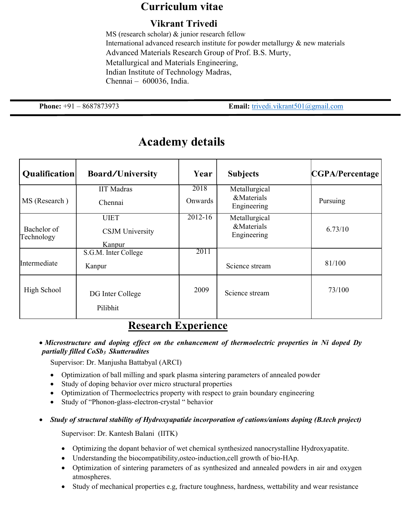#### Curriculum vitae

#### Vikrant Trivedi

MS (research scholar) & junior research fellow International advanced research institute for powder metallurgy & new materials Advanced Materials Research Group of Prof. B.S. Murty, Metallurgical and Materials Engineering, Indian Institute of Technology Madras, Chennai – 600036, India.

**Phone:**  $+91 - 8687873973$  **Email:** trivedi.vikrant501@gmail.com

| Qualification             | <b>Board/University</b>      | Year        | <b>Subjects</b>           | CGPA/Percentage |
|---------------------------|------------------------------|-------------|---------------------------|-----------------|
|                           | <b>IIT</b> Madras            | 2018        | Metallurgical             |                 |
| MS (Research)             | Chennai                      | Onwards     | &Materials<br>Engineering | Pursuing        |
| Bachelor of<br>Technology | <b>UIET</b>                  | $2012 - 16$ | Metallurgical             |                 |
|                           | <b>CSJM</b> University       |             | &Materials<br>Engineering | 6.73/10         |
|                           | Kanpur                       |             |                           |                 |
|                           | S.G.M. Inter College         | 2011        |                           |                 |
| Intermediate              | Kanpur                       |             | Science stream            | 81/100          |
| High School               | DG Inter College<br>Pilibhit | 2009        | Science stream            | 73/100          |

## Academy details

#### Research Experience

#### • Microstructure and doping effect on the enhancement of thermoelectric properties in Ni doped Dy partially filled  $CoSb<sub>3</sub>$  Skutterudites

Supervisor: Dr. Manjusha Battabyal (ARCI)

- Optimization of ball milling and spark plasma sintering parameters of annealed powder
- Study of doping behavior over micro structural properties
- Optimization of Thermoelectrics property with respect to grain boundary engineering
- Study of "Phonon-glass-electron-crystal " behavior

#### Study of structural stability of Hydroxyapatide incorporation of cations/anions doping (B.tech project)

Supervisor: Dr. Kantesh Balani (IITK)

- Optimizing the dopant behavior of wet chemical synthesized nanocrystalline Hydroxyapatite.
- Understanding the biocompatibility,osteo-induction,cell growth of bio-HAp.
- Optimization of sintering parameters of as synthesized and annealed powders in air and oxygen atmospheres.
- Study of mechanical properties e.g, fracture toughness, hardness, wettability and wear resistance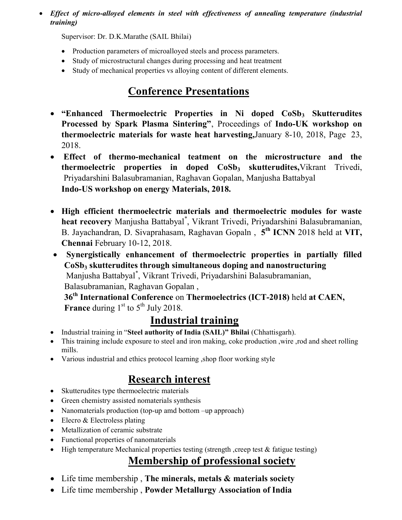#### Effect of micro-alloyed elements in steel with effectiveness of annealing temperature (industrial training)

Supervisor: Dr. D.K.Marathe (SAIL Bhilai)

- Production parameters of microalloyed steels and process parameters.
- Study of microstructural changes during processing and heat treatment
- Study of mechanical properties vs alloying content of different elements.

# Conference Presentations

- $\bullet$  "Enhanced Thermoelectric Properties in Ni doped  $CoSb<sub>3</sub>$  Skutterudites Processed by Spark Plasma Sintering", Proceedings of Indo-UK workshop on thermoelectric materials for waste heat harvesting,January 8-10, 2018, Page 23, 2018.
- Effect of thermo-mechanical teatment on the microstructure and the thermoelectric properties in doped  $CoSb<sub>3</sub>$  skutterudites, Vikrant Trivedi, Priyadarshini Balasubramanian, Raghavan Gopalan, Manjusha Battabyal Indo-US workshop on energy Materials, 2018.
- High efficient thermoelectric materials and thermoelectric modules for waste heat recovery Manjusha Battabyal\* , Vikrant Trivedi, Priyadarshini Balasubramanian, B. Jayachandran, D. Sivaprahasam, Raghavan Gopaln, 5<sup>th</sup> ICNN 2018 held at VIT, Chennai February 10-12, 2018.
- Synergistically enhancement of thermoelectric properties in partially filled CoSb<sub>3</sub> skutterudites through simultaneous doping and nanostructuring Manjusha Battabyal\* , Vikrant Trivedi, Priyadarshini Balasubramanian, Balasubramanian, Raghavan Gopalan , 36<sup>th</sup> International Conference on Thermoelectrics (ICT-2018) held at CAEN,

**France** during  $1<sup>st</sup>$  to  $5<sup>th</sup>$  July 2018.

# Industrial training

- Industrial training in "Steel authority of India (SAIL)" Bhilai (Chhattisgarh).
- This training include exposure to steel and iron making, coke production ,wire ,rod and sheet rolling mills.
- Various industrial and ethics protocol learning ,shop floor working style

# Research interest

- Skutterudites type thermoelectric materials
- Green chemistry assisted nomaterials synthesis
- Nanomaterials production (top-up amd bottom –up approach)
- $\bullet$  Elecro & Electroless plating
- Metallization of ceramic substrate
- Functional properties of nanomaterials
- High temperature Mechanical properties testing (strength , creep test & fatigue testing)

## Membership of professional society

- Life time membership, The minerals, metals  $\&$  materials society
- Life time membership , Powder Metallurgy Association of India